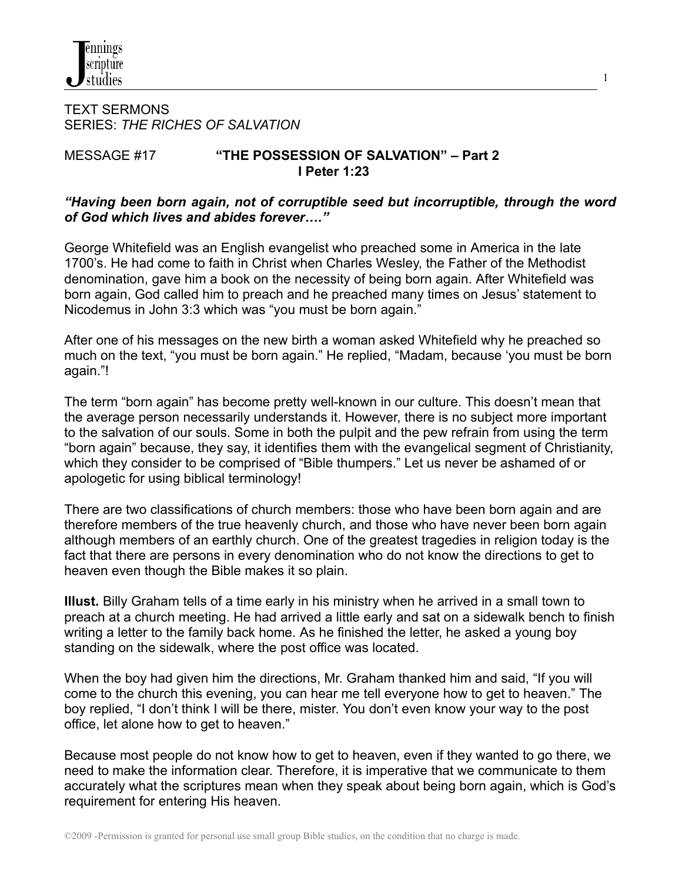TEXT SERMONS SERIES: *THE RICHES OF SALVATION*

## MESSAGE #17 **"THE POSSESSION OF SALVATION" – Part 2 I Peter 1:23**

#### *"Having been born again, not of corruptible seed but incorruptible, through the word of God which lives and abides forever…."*

1

George Whitefield was an English evangelist who preached some in America in the late 1700's. He had come to faith in Christ when Charles Wesley, the Father of the Methodist denomination, gave him a book on the necessity of being born again. After Whitefield was born again, God called him to preach and he preached many times on Jesus' statement to Nicodemus in John 3:3 which was "you must be born again."

After one of his messages on the new birth a woman asked Whitefield why he preached so much on the text, "you must be born again." He replied, "Madam, because 'you must be born again."!

The term "born again" has become pretty well-known in our culture. This doesn't mean that the average person necessarily understands it. However, there is no subject more important to the salvation of our souls. Some in both the pulpit and the pew refrain from using the term "born again" because, they say, it identifies them with the evangelical segment of Christianity, which they consider to be comprised of "Bible thumpers." Let us never be ashamed of or apologetic for using biblical terminology!

There are two classifications of church members: those who have been born again and are therefore members of the true heavenly church, and those who have never been born again although members of an earthly church. One of the greatest tragedies in religion today is the fact that there are persons in every denomination who do not know the directions to get to heaven even though the Bible makes it so plain.

**Illust.** Billy Graham tells of a time early in his ministry when he arrived in a small town to preach at a church meeting. He had arrived a little early and sat on a sidewalk bench to finish writing a letter to the family back home. As he finished the letter, he asked a young boy standing on the sidewalk, where the post office was located.

When the boy had given him the directions, Mr. Graham thanked him and said, "If you will come to the church this evening, you can hear me tell everyone how to get to heaven." The boy replied, "I don't think I will be there, mister. You don't even know your way to the post office, let alone how to get to heaven."

Because most people do not know how to get to heaven, even if they wanted to go there, we need to make the information clear. Therefore, it is imperative that we communicate to them accurately what the scriptures mean when they speak about being born again, which is God's requirement for entering His heaven.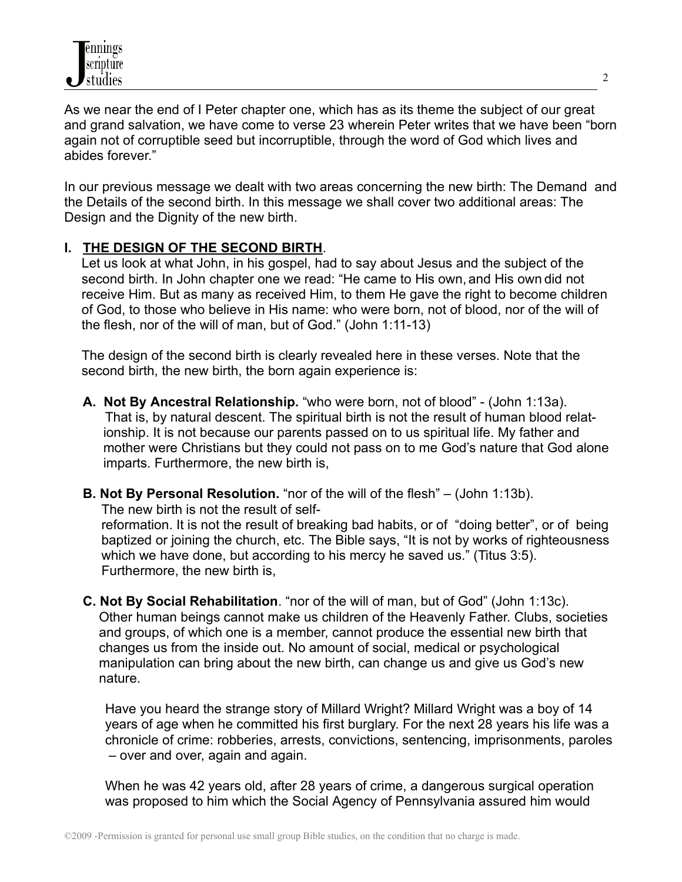As we near the end of I Peter chapter one, which has as its theme the subject of our great and grand salvation, we have come to verse 23 wherein Peter writes that we have been "born again not of corruptible seed but incorruptible, through the word of God which lives and abides forever."

In our previous message we dealt with two areas concerning the new birth: The Demand and the Details of the second birth. In this message we shall cover two additional areas: The Design and the Dignity of the new birth.

#### **I. THE DESIGN OF THE SECOND BIRTH**.

Let us look at what John, in his gospel, had to say about Jesus and the subject of the second birth. In John chapter one we read: "He came to His own, and His own did not receive Him. But as many as received Him, to them He gave the right to become children of God, to those who believe in His name: who were born, not of blood, nor of the will of the flesh, nor of the will of man, but of God." (John 1:11-13)

The design of the second birth is clearly revealed here in these verses. Note that the second birth, the new birth, the born again experience is:

- **A. Not By Ancestral Relationship.** "who were born, not of blood" (John 1:13a). That is, by natural descent. The spiritual birth is not the result of human blood relationship. It is not because our parents passed on to us spiritual life. My father and mother were Christians but they could not pass on to me God's nature that God alone imparts. Furthermore, the new birth is,
- **B. Not By Personal Resolution.** "nor of the will of the flesh" (John 1:13b). The new birth is not the result of selfreformation. It is not the result of breaking bad habits, or of "doing better", or of being baptized or joining the church, etc. The Bible says, "It is not by works of righteousness which we have done, but according to his mercy he saved us." (Titus 3:5). Furthermore, the new birth is,
- **C. Not By Social Rehabilitation**. "nor of the will of man, but of God" (John 1:13c). Other human beings cannot make us children of the Heavenly Father. Clubs, societies and groups, of which one is a member, cannot produce the essential new birth that changes us from the inside out. No amount of social, medical or psychological manipulation can bring about the new birth, can change us and give us God's new nature.

Have you heard the strange story of Millard Wright? Millard Wright was a boy of 14 years of age when he committed his first burglary. For the next 28 years his life was a chronicle of crime: robberies, arrests, convictions, sentencing, imprisonments, paroles – over and over, again and again.

When he was 42 years old, after 28 years of crime, a dangerous surgical operation was proposed to him which the Social Agency of Pennsylvania assured him would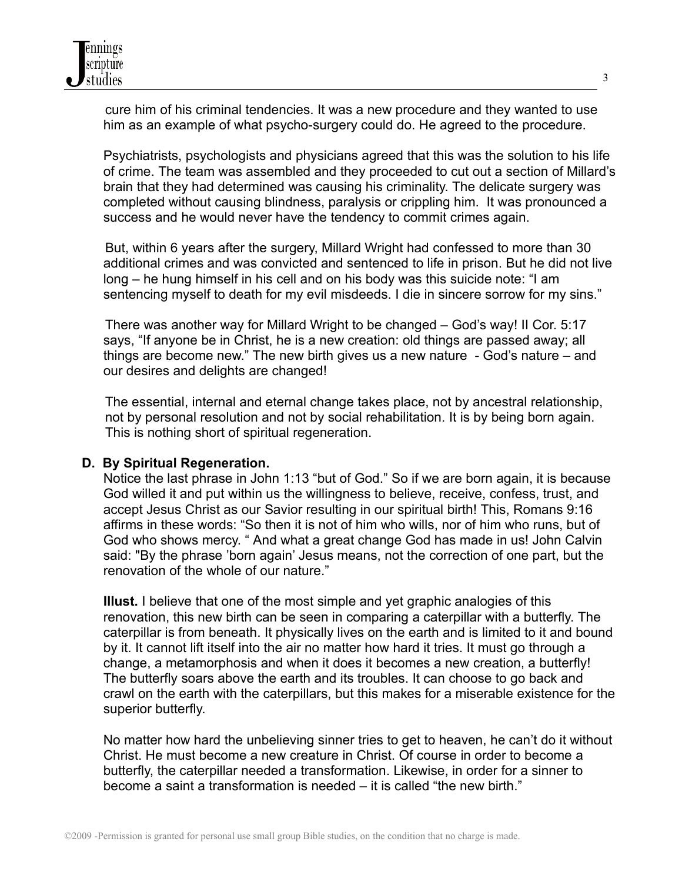

cure him of his criminal tendencies. It was a new procedure and they wanted to use him as an example of what psycho-surgery could do. He agreed to the procedure.

Psychiatrists, psychologists and physicians agreed that this was the solution to his life of crime. The team was assembled and they proceeded to cut out a section of Millard's brain that they had determined was causing his criminality. The delicate surgery was completed without causing blindness, paralysis or crippling him. It was pronounced a success and he would never have the tendency to commit crimes again.

But, within 6 years after the surgery, Millard Wright had confessed to more than 30 additional crimes and was convicted and sentenced to life in prison. But he did not live long – he hung himself in his cell and on his body was this suicide note: "I am sentencing myself to death for my evil misdeeds. I die in sincere sorrow for my sins."

There was another way for Millard Wright to be changed – God's way! II Cor. 5:17 says, "If anyone be in Christ, he is a new creation: old things are passed away; all things are become new." The new birth gives us a new nature - God's nature – and our desires and delights are changed!

The essential, internal and eternal change takes place, not by ancestral relationship, not by personal resolution and not by social rehabilitation. It is by being born again. This is nothing short of spiritual regeneration.

#### **D. By Spiritual Regeneration.**

Notice the last phrase in John 1:13 "but of God." So if we are born again, it is because God willed it and put within us the willingness to believe, receive, confess, trust, and accept Jesus Christ as our Savior resulting in our spiritual birth! This, Romans 9:16 affirms in these words: "So then it is not of him who wills, nor of him who runs, but of God who shows mercy. " And what a great change God has made in us! John Calvin said: "By the phrase 'born again' Jesus means, not the correction of one part, but the renovation of the whole of our nature."

**Illust.** I believe that one of the most simple and yet graphic analogies of this renovation, this new birth can be seen in comparing a caterpillar with a butterfly. The caterpillar is from beneath. It physically lives on the earth and is limited to it and bound by it. It cannot lift itself into the air no matter how hard it tries. It must go through a change, a metamorphosis and when it does it becomes a new creation, a butterfly! The butterfly soars above the earth and its troubles. It can choose to go back and crawl on the earth with the caterpillars, but this makes for a miserable existence for the superior butterfly.

No matter how hard the unbelieving sinner tries to get to heaven, he can't do it without Christ. He must become a new creature in Christ. Of course in order to become a butterfly, the caterpillar needed a transformation. Likewise, in order for a sinner to become a saint a transformation is needed – it is called "the new birth."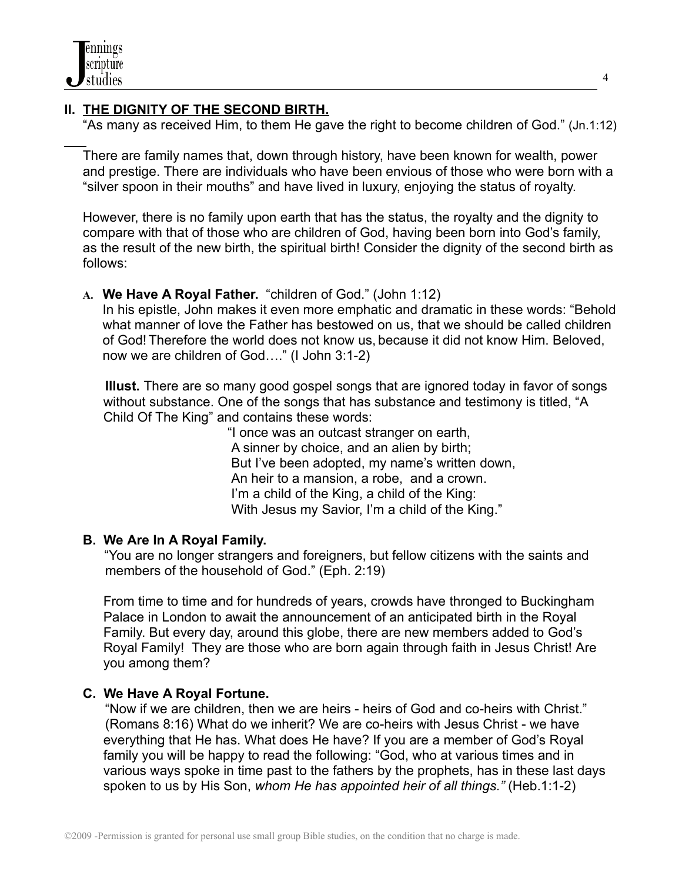# **II. THE DIGNITY OF THE SECOND BIRTH.**

"As many as received Him, to them He gave the right to become children of God." (Jn.1:12)

There are family names that, down through history, have been known for wealth, power and prestige. There are individuals who have been envious of those who were born with a "silver spoon in their mouths" and have lived in luxury, enjoying the status of royalty.

However, there is no family upon earth that has the status, the royalty and the dignity to compare with that of those who are children of God, having been born into God's family, as the result of the new birth, the spiritual birth! Consider the dignity of the second birth as follows:

**A. We Have A Royal Father.** "children of God." (John 1:12)

In his epistle, John makes it even more emphatic and dramatic in these words: "Behold what manner of love the Father has bestowed on us, that we should be called children of God! Therefore the world does not know us, because it did not know Him. Beloved, now we are children of God…." (I John 3:1-2)

**Illust.** There are so many good gospel songs that are ignored today in favor of songs without substance. One of the songs that has substance and testimony is titled, "A Child Of The King" and contains these words:

"I once was an outcast stranger on earth, A sinner by choice, and an alien by birth; But I've been adopted, my name's written down, An heir to a mansion, a robe, and a crown. I'm a child of the King, a child of the King: With Jesus my Savior, I'm a child of the King."

# **B. We Are In A Royal Family.**

"You are no longer strangers and foreigners, but fellow citizens with the saints and members of the household of God." (Eph. 2:19)

From time to time and for hundreds of years, crowds have thronged to Buckingham Palace in London to await the announcement of an anticipated birth in the Royal Family. But every day, around this globe, there are new members added to God's Royal Family! They are those who are born again through faith in Jesus Christ! Are you among them?

# **C. We Have A Royal Fortune.**

"Now if we are children, then we are heirs - heirs of God and co-heirs with Christ." (Romans 8:16) What do we inherit? We are co-heirs with Jesus Christ - we have everything that He has. What does He have? If you are a member of God's Royal family you will be happy to read the following: "God, who at various times and in various ways spoke in time past to the fathers by the prophets, has in these last days spoken to us by His Son, *whom He has appointed heir of all things."* (Heb.1:1-2)